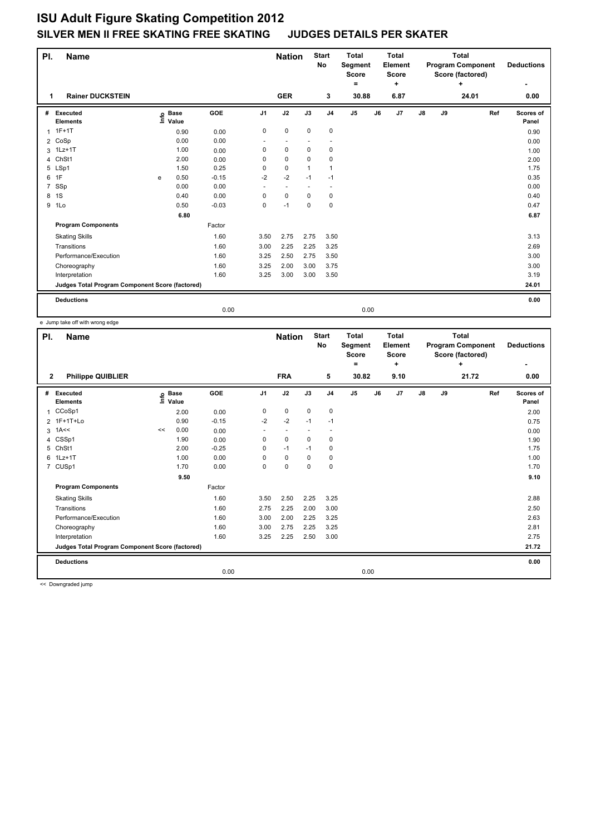## **ISU Adult Figure Skating Competition 2012 SILVER MEN II FREE SKATING FREE SKATING JUDGES DETAILS PER SKATER**

| PI.<br><b>Name</b> |                                                 |   |                            |         |                | <b>Start</b><br><b>Nation</b><br>No |             | <b>Total</b><br>Segment<br><b>Score</b><br>$\equiv$ |                | <b>Total</b><br>Element<br><b>Score</b><br>٠ |      | <b>Total</b><br><b>Program Component</b><br>Score (factored) |    | <b>Deductions</b> |     |                    |
|--------------------|-------------------------------------------------|---|----------------------------|---------|----------------|-------------------------------------|-------------|-----------------------------------------------------|----------------|----------------------------------------------|------|--------------------------------------------------------------|----|-------------------|-----|--------------------|
| 1                  | <b>Rainer DUCKSTEIN</b>                         |   |                            |         |                | <b>GER</b>                          |             | 3                                                   | 30.88          |                                              | 6.87 |                                                              |    | ÷<br>24.01        |     | 0.00               |
| #                  | Executed<br><b>Elements</b>                     |   | e Base<br>E Value<br>Value | GOE     | J <sub>1</sub> | J2                                  | J3          | J <sub>4</sub>                                      | J <sub>5</sub> | J6                                           | J7   | $\mathsf{J}8$                                                | J9 |                   | Ref | Scores of<br>Panel |
| 1                  | $1F+1T$                                         |   | 0.90                       | 0.00    | 0              | $\pmb{0}$                           | $\mathbf 0$ | $\mathbf 0$                                         |                |                                              |      |                                                              |    |                   |     | 0.90               |
| $\overline{2}$     | CoSp                                            |   | 0.00                       | 0.00    |                |                                     |             | $\overline{\phantom{a}}$                            |                |                                              |      |                                                              |    |                   |     | 0.00               |
| 3                  | $1Lz+1T$                                        |   | 1.00                       | 0.00    | 0              | 0                                   | 0           | 0                                                   |                |                                              |      |                                                              |    |                   |     | 1.00               |
| 4                  | ChSt1                                           |   | 2.00                       | 0.00    | 0              | 0                                   | $\Omega$    | 0                                                   |                |                                              |      |                                                              |    |                   |     | 2.00               |
|                    | 5 LSp1                                          |   | 1.50                       | 0.25    | 0              | 0                                   |             | 1                                                   |                |                                              |      |                                                              |    |                   |     | 1.75               |
|                    | 6 1F                                            | e | 0.50                       | $-0.15$ | $-2$           | $-2$                                | $-1$        | $-1$                                                |                |                                              |      |                                                              |    |                   |     | 0.35               |
| $7^{\circ}$        | SSp                                             |   | 0.00                       | 0.00    | ٠              | $\sim$                              |             | $\overline{\phantom{a}}$                            |                |                                              |      |                                                              |    |                   |     | 0.00               |
|                    | 8 1S                                            |   | 0.40                       | 0.00    | 0              | 0                                   | 0           | 0                                                   |                |                                              |      |                                                              |    |                   |     | 0.40               |
|                    | 9 1Lo                                           |   | 0.50                       | $-0.03$ | 0              | $-1$                                | 0           | 0                                                   |                |                                              |      |                                                              |    |                   |     | 0.47               |
|                    |                                                 |   | 6.80                       |         |                |                                     |             |                                                     |                |                                              |      |                                                              |    |                   |     | 6.87               |
|                    | <b>Program Components</b>                       |   |                            | Factor  |                |                                     |             |                                                     |                |                                              |      |                                                              |    |                   |     |                    |
|                    | <b>Skating Skills</b>                           |   |                            | 1.60    | 3.50           | 2.75                                | 2.75        | 3.50                                                |                |                                              |      |                                                              |    |                   |     | 3.13               |
|                    | Transitions                                     |   |                            | 1.60    | 3.00           | 2.25                                | 2.25        | 3.25                                                |                |                                              |      |                                                              |    |                   |     | 2.69               |
|                    | Performance/Execution                           |   |                            | 1.60    | 3.25           | 2.50                                | 2.75        | 3.50                                                |                |                                              |      |                                                              |    |                   |     | 3.00               |
|                    | Choreography                                    |   |                            | 1.60    | 3.25           | 2.00                                | 3.00        | 3.75                                                |                |                                              |      |                                                              |    |                   |     | 3.00               |
|                    | Interpretation                                  |   |                            | 1.60    | 3.25           | 3.00                                | 3.00        | 3.50                                                |                |                                              |      |                                                              |    |                   |     | 3.19               |
|                    | Judges Total Program Component Score (factored) |   |                            |         |                |                                     |             |                                                     |                |                                              |      |                                                              |    |                   |     | 24.01              |
|                    | <b>Deductions</b>                               |   |                            |         |                |                                     |             |                                                     |                |                                              |      |                                                              |    |                   |     | 0.00               |
|                    |                                                 |   |                            | 0.00    |                |                                     |             |                                                     | 0.00           |                                              |      |                                                              |    |                   |     |                    |

e Jump take off with wrong edge

| PI.<br>Name    |                                                 |    |                      |         | <b>Nation</b>            |                | <b>Start</b><br>No       | <b>Total</b><br>Segment<br><b>Score</b><br>Ξ. |                | <b>Total</b><br>Element<br><b>Score</b><br>٠ |      |               | <b>Total</b><br><b>Program Component</b><br>Score (factored)<br>$\ddot{}$ | <b>Deductions</b> |                    |
|----------------|-------------------------------------------------|----|----------------------|---------|--------------------------|----------------|--------------------------|-----------------------------------------------|----------------|----------------------------------------------|------|---------------|---------------------------------------------------------------------------|-------------------|--------------------|
| $\mathbf{2}$   | <b>Philippe QUIBLIER</b>                        |    |                      |         |                          | <b>FRA</b>     |                          | 5                                             | 30.82          |                                              | 9.10 |               |                                                                           | 21.72             | 0.00               |
| #              | Executed<br><b>Elements</b>                     | ١m | <b>Base</b><br>Value | GOE     | J <sub>1</sub>           | J2             | J3                       | J <sub>4</sub>                                | J <sub>5</sub> | J6                                           | J7   | $\mathsf{J}8$ | J9                                                                        | Ref               | Scores of<br>Panel |
|                | 1 CCoSp1                                        |    | 2.00                 | 0.00    | 0                        | $\mathbf 0$    | $\mathbf 0$              | $\mathbf 0$                                   |                |                                              |      |               |                                                                           |                   | 2.00               |
| $\overline{2}$ | 1F+1T+Lo                                        |    | 0.90                 | $-0.15$ | $-2$                     | $-2$           | $-1$                     | $-1$                                          |                |                                              |      |               |                                                                           |                   | 0.75               |
|                | $3$ 1A $\leq$                                   | << | 0.00                 | 0.00    | $\overline{\phantom{a}}$ | $\overline{a}$ | $\overline{\phantom{a}}$ | ٠                                             |                |                                              |      |               |                                                                           |                   | 0.00               |
| 4              | CSSp1                                           |    | 1.90                 | 0.00    | 0                        | $\Omega$       | $\Omega$                 | $\mathbf 0$                                   |                |                                              |      |               |                                                                           |                   | 1.90               |
| 5              | ChSt1                                           |    | 2.00                 | $-0.25$ | 0                        | $-1$           | $-1$                     | 0                                             |                |                                              |      |               |                                                                           |                   | 1.75               |
|                | 6 1Lz+1T                                        |    | 1.00                 | 0.00    | 0                        | $\mathbf 0$    | 0                        | $\mathbf 0$                                   |                |                                              |      |               |                                                                           |                   | 1.00               |
|                | 7 CUSp1                                         |    | 1.70                 | 0.00    | 0                        | $\mathbf 0$    | $\mathbf 0$              | $\mathbf 0$                                   |                |                                              |      |               |                                                                           |                   | 1.70               |
|                |                                                 |    | 9.50                 |         |                          |                |                          |                                               |                |                                              |      |               |                                                                           |                   | 9.10               |
|                | <b>Program Components</b>                       |    |                      | Factor  |                          |                |                          |                                               |                |                                              |      |               |                                                                           |                   |                    |
|                | <b>Skating Skills</b>                           |    |                      | 1.60    | 3.50                     | 2.50           | 2.25                     | 3.25                                          |                |                                              |      |               |                                                                           |                   | 2.88               |
|                | Transitions                                     |    |                      | 1.60    | 2.75                     | 2.25           | 2.00                     | 3.00                                          |                |                                              |      |               |                                                                           |                   | 2.50               |
|                | Performance/Execution                           |    |                      | 1.60    | 3.00                     | 2.00           | 2.25                     | 3.25                                          |                |                                              |      |               |                                                                           |                   | 2.63               |
|                | Choreography                                    |    |                      | 1.60    | 3.00                     | 2.75           | 2.25                     | 3.25                                          |                |                                              |      |               |                                                                           |                   | 2.81               |
|                | Interpretation                                  |    |                      | 1.60    | 3.25                     | 2.25           | 2.50                     | 3.00                                          |                |                                              |      |               |                                                                           |                   | 2.75               |
|                | Judges Total Program Component Score (factored) |    |                      |         |                          |                |                          |                                               |                |                                              |      |               |                                                                           |                   | 21.72              |
|                | <b>Deductions</b>                               |    |                      |         |                          |                |                          |                                               |                |                                              |      |               |                                                                           |                   | 0.00               |
|                |                                                 |    |                      | 0.00    |                          |                |                          |                                               | 0.00           |                                              |      |               |                                                                           |                   |                    |

<< Downgraded jump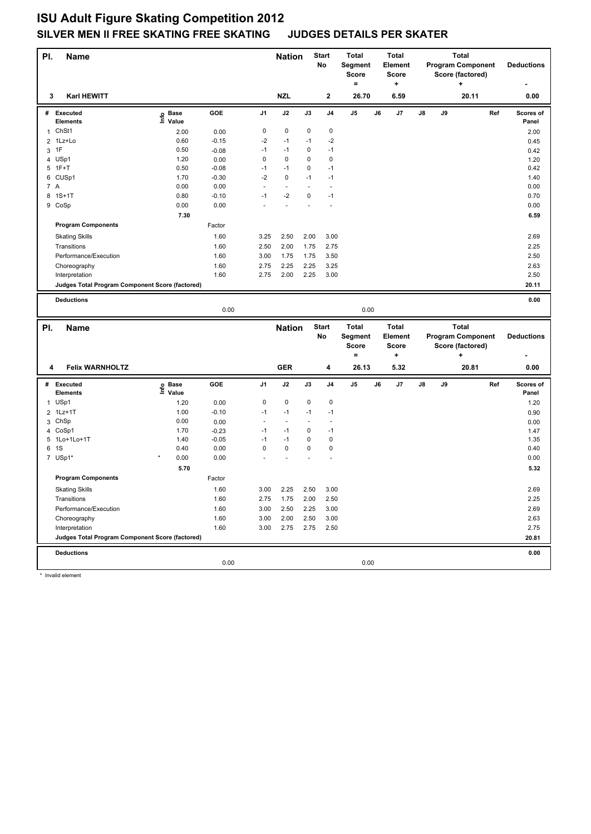## **ISU Adult Figure Skating Competition 2012 SILVER MEN II FREE SKATING FREE SKATING JUDGES DETAILS PER SKATER**

| PI.            | <b>Name</b>                                     |                   |         |                | <b>Nation</b>  |      | <b>Start</b><br>No | <b>Total</b><br>Segment<br>Score<br>$\equiv$ |    | <b>Total</b><br><b>Element</b><br><b>Score</b><br>+ | <b>Total</b><br><b>Program Component</b><br>Score (factored)<br>٠ |    | <b>Deductions</b>                        |     |                    |
|----------------|-------------------------------------------------|-------------------|---------|----------------|----------------|------|--------------------|----------------------------------------------|----|-----------------------------------------------------|-------------------------------------------------------------------|----|------------------------------------------|-----|--------------------|
| 3              | <b>Karl HEWITT</b>                              |                   |         |                | <b>NZL</b>     |      | 2                  | 26.70                                        |    | 6.59                                                |                                                                   |    | 20.11                                    |     | 0.00               |
|                | # Executed<br>Elements                          | e Base<br>⊑ Value | GOE     | J <sub>1</sub> | J2             | J3   | J <sub>4</sub>     | J5                                           | J6 | J7                                                  | J8                                                                | J9 |                                          | Ref | Scores of<br>Panel |
| $\mathbf{1}$   | ChSt1                                           | 2.00              | 0.00    | 0              | $\mathbf 0$    | 0    | $\pmb{0}$          |                                              |    |                                                     |                                                                   |    |                                          |     | 2.00               |
| $\overline{2}$ | 1Lz+Lo                                          | 0.60              | $-0.15$ | -2             | $-1$           | $-1$ | $-2$               |                                              |    |                                                     |                                                                   |    |                                          |     | 0.45               |
| 3              | 1F                                              | 0.50              | $-0.08$ | $-1$           | $-1$           | 0    | $-1$               |                                              |    |                                                     |                                                                   |    |                                          |     | 0.42               |
| $\overline{4}$ | USp1                                            | 1.20              | 0.00    | 0              | $\mathbf 0$    | 0    | $\pmb{0}$          |                                              |    |                                                     |                                                                   |    |                                          |     | 1.20               |
|                | $5$ 1F+T                                        | 0.50              | $-0.08$ | $-1$           | $-1$           | 0    | $-1$               |                                              |    |                                                     |                                                                   |    |                                          |     | 0.42               |
|                | 6 CUSp1                                         | 1.70              | $-0.30$ | $-2$           | 0              | $-1$ | $-1$               |                                              |    |                                                     |                                                                   |    |                                          |     | 1.40               |
| 7 A            |                                                 | 0.00              | 0.00    | ä,             | $\blacksquare$ |      | $\sim$             |                                              |    |                                                     |                                                                   |    |                                          |     | 0.00               |
|                | 8 1S+1T                                         | 0.80              | $-0.10$ | $-1$           | $-2$           | 0    | $-1$               |                                              |    |                                                     |                                                                   |    |                                          |     | 0.70               |
|                | 9 CoSp                                          | 0.00              | 0.00    |                | L,             |      | ÷,                 |                                              |    |                                                     |                                                                   |    |                                          |     | 0.00               |
|                |                                                 | 7.30              |         |                |                |      |                    |                                              |    |                                                     |                                                                   |    |                                          |     | 6.59               |
|                | <b>Program Components</b>                       |                   | Factor  |                |                |      |                    |                                              |    |                                                     |                                                                   |    |                                          |     |                    |
|                | <b>Skating Skills</b>                           |                   | 1.60    | 3.25           | 2.50           | 2.00 | 3.00               |                                              |    |                                                     |                                                                   |    |                                          |     | 2.69               |
|                | Transitions                                     |                   | 1.60    | 2.50           | 2.00           | 1.75 | 2.75               |                                              |    |                                                     |                                                                   |    |                                          |     | 2.25               |
|                | Performance/Execution                           |                   | 1.60    | 3.00           | 1.75           | 1.75 | 3.50               |                                              |    |                                                     |                                                                   |    |                                          |     | 2.50               |
|                | Choreography                                    |                   | 1.60    | 2.75           | 2.25           | 2.25 | 3.25               |                                              |    |                                                     |                                                                   |    |                                          |     | 2.63               |
|                | Interpretation                                  |                   | 1.60    | 2.75           | 2.00           | 2.25 | 3.00               |                                              |    |                                                     |                                                                   |    |                                          |     | 2.50               |
|                | Judges Total Program Component Score (factored) |                   |         |                |                |      |                    |                                              |    |                                                     |                                                                   |    |                                          |     | 20.11              |
|                |                                                 |                   |         |                |                |      |                    |                                              |    |                                                     |                                                                   |    |                                          |     | 0.00               |
|                | <b>Deductions</b>                               |                   | 0.00    |                |                |      |                    | 0.00                                         |    |                                                     |                                                                   |    |                                          |     |                    |
|                |                                                 |                   |         |                |                |      |                    |                                              |    |                                                     |                                                                   |    |                                          |     |                    |
|                |                                                 |                   |         |                |                |      |                    |                                              |    |                                                     |                                                                   |    |                                          |     |                    |
| PI.            | <b>Name</b>                                     |                   |         |                | <b>Nation</b>  |      | <b>Start</b><br>No | <b>Total</b><br>Segment                      |    | <b>Total</b><br><b>Element</b>                      |                                                                   |    | <b>Total</b><br><b>Program Component</b> |     | <b>Deductions</b>  |
|                |                                                 |                   |         |                |                |      |                    | Score                                        |    | <b>Score</b>                                        |                                                                   |    | Score (factored)                         |     |                    |
|                |                                                 |                   |         |                |                |      |                    | $=$                                          |    | ٠                                                   |                                                                   |    | ٠                                        |     |                    |
| 4              | <b>Felix WARNHOLTZ</b>                          |                   |         |                | <b>GER</b>     |      | 4                  | 26.13                                        |    | 5.32                                                |                                                                   |    | 20.81                                    |     | 0.00               |
| #              | <b>Executed</b>                                 |                   | GOE     | J1             | J2             | J3   | J4                 | J5                                           | J6 | J7                                                  | J8                                                                | J9 |                                          | Ref | Scores of          |
|                | <b>Elements</b>                                 | e Base<br>⊑ Value |         |                |                |      |                    |                                              |    |                                                     |                                                                   |    |                                          |     | Panel              |
| $\mathbf{1}$   | USp1                                            | 1.20              | 0.00    | 0              | $\mathbf 0$    | 0    | $\pmb{0}$          |                                              |    |                                                     |                                                                   |    |                                          |     | 1.20               |
|                | 2 1Lz+1T                                        | 1.00              | $-0.10$ | $-1$           | $-1$           | $-1$ | $-1$               |                                              |    |                                                     |                                                                   |    |                                          |     | 0.90               |
| 3              | ChSp                                            | 0.00              | 0.00    | ÷,             | $\blacksquare$ |      | $\blacksquare$     |                                              |    |                                                     |                                                                   |    |                                          |     | 0.00               |
|                | 4 CoSp1                                         | 1.70              | $-0.23$ | $-1$           | $-1$           | 0    | $-1$               |                                              |    |                                                     |                                                                   |    |                                          |     | 1.47               |
|                | 5 1Lo+1Lo+1T                                    | 1.40              | $-0.05$ | $-1$           | $-1$           | 0    | $\pmb{0}$          |                                              |    |                                                     |                                                                   |    |                                          |     | 1.35               |
|                | 6 1S                                            | 0.40              | 0.00    | 0              | $\pmb{0}$      | 0    | $\pmb{0}$          |                                              |    |                                                     |                                                                   |    |                                          |     | 0.40               |
|                | 7 USp1*                                         | 0.00              | 0.00    |                |                |      |                    |                                              |    |                                                     |                                                                   |    |                                          |     | 0.00               |
|                |                                                 | 5.70              |         |                |                |      |                    |                                              |    |                                                     |                                                                   |    |                                          |     | 5.32               |
|                | <b>Program Components</b>                       |                   | Factor  |                |                |      |                    |                                              |    |                                                     |                                                                   |    |                                          |     |                    |
|                | <b>Skating Skills</b>                           |                   | 1.60    | 3.00           | 2.25           | 2.50 | 3.00               |                                              |    |                                                     |                                                                   |    |                                          |     | 2.69               |
|                | Transitions                                     |                   | 1.60    | 2.75           | 1.75           | 2.00 | 2.50               |                                              |    |                                                     |                                                                   |    |                                          |     | 2.25               |
|                | Performance/Execution                           |                   | 1.60    | 3.00           | 2.50           | 2.25 | 3.00               |                                              |    |                                                     |                                                                   |    |                                          |     | 2.69               |
|                | Choreography                                    |                   | 1.60    | 3.00           | 2.00           | 2.50 | 3.00               |                                              |    |                                                     |                                                                   |    |                                          |     | 2.63               |
|                | Interpretation                                  |                   | 1.60    | 3.00           | 2.75           | 2.75 | 2.50               |                                              |    |                                                     |                                                                   |    |                                          |     | 2.75               |
|                | Judges Total Program Component Score (factored) |                   |         |                |                |      |                    |                                              |    |                                                     |                                                                   |    |                                          |     | 20.81              |
|                | <b>Deductions</b>                               |                   |         |                |                |      |                    |                                              |    |                                                     |                                                                   |    |                                          |     | 0.00               |
|                |                                                 |                   | 0.00    |                |                |      |                    | 0.00                                         |    |                                                     |                                                                   |    |                                          |     |                    |

\* Invalid element